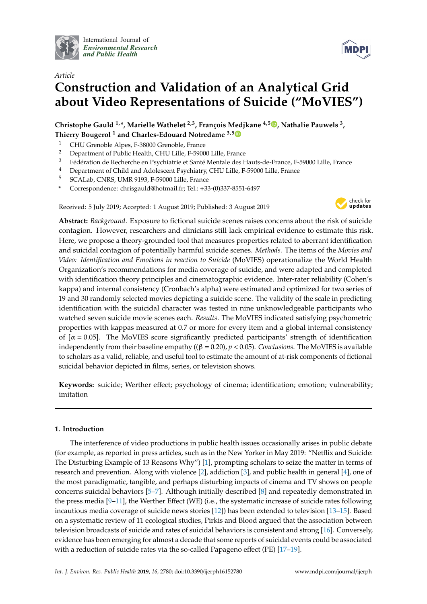

International Journal of *[Environmental Research](http://www.mdpi.com/journal/ijerph) and Public Health*



# *Article* **Construction and Validation of an Analytical Grid about Video Representations of Suicide ("MoVIES")**

**Christophe Gauld 1,\*, Marielle Wathelet 2,3, François Medjkane 4,5 [,](https://orcid.org/0000-0003-3704-2100) Nathalie Pauwels <sup>3</sup> , Thierry Bougerol <sup>1</sup> and Charles-Edouard Notredame 3,[5](https://orcid.org/0000-0002-7390-6298)**

- <sup>1</sup> CHU Grenoble Alpes, F-38000 Grenoble, France<br><sup>2</sup> Department of Public Health, CHU Uille, E-5900
- <sup>2</sup> Department of Public Health, CHU Lille, F-59000 Lille, France<br><sup>3</sup> Eédération de Recherche en Psychiatrie et Santé Mentale des E
- <sup>3</sup> Fédération de Recherche en Psychiatrie et Santé Mentale des Hauts-de-France, F-59000 Lille, France<br><sup>4</sup> Department of Child and Adelescent Psychiatry CHULLille, E 50000 Lille, France
- <sup>4</sup> Department of Child and Adolescent Psychiatry, CHU Lille, F-59000 Lille, France
- <sup>5</sup> SCALab, CNRS, UMR 9193, F-59000 Lille, France
- **\*** Correspondence: chrisgauld@hotmail.fr; Tel.: +33-(0)337-8551-6497

Received: 5 July 2019; Accepted: 1 August 2019; Published: 3 August 2019



**Abstract:** *Background.* Exposure to fictional suicide scenes raises concerns about the risk of suicide contagion. However, researchers and clinicians still lack empirical evidence to estimate this risk. Here, we propose a theory-grounded tool that measures properties related to aberrant identification and suicidal contagion of potentially harmful suicide scenes. *Methods.* The items of the *Movies and Video: Identification and Emotions in reaction to Suicide* (MoVIES) operationalize the World Health Organization's recommendations for media coverage of suicide, and were adapted and completed with identification theory principles and cinematographic evidence. Inter-rater reliability (Cohen's kappa) and internal consistency (Cronbach's alpha) were estimated and optimized for two series of 19 and 30 randomly selected movies depicting a suicide scene. The validity of the scale in predicting identification with the suicidal character was tested in nine unknowledgeable participants who watched seven suicide movie scenes each. *Results*. The MoVIES indicated satisfying psychometric properties with kappas measured at 0.7 or more for every item and a global internal consistency of  $[\alpha = 0.05]$ . The MoVIES score significantly predicted participants' strength of identification independently from their baseline empathy (( $β = 0.20$ ),  $p < 0.05$ ). *Conclusions*. The MoVIES is available to scholars as a valid, reliable, and useful tool to estimate the amount of at-risk components of fictional suicidal behavior depicted in films, series, or television shows.

**Keywords:** suicide; Werther effect; psychology of cinema; identification; emotion; vulnerability; imitation

## **1. Introduction**

The interference of video productions in public health issues occasionally arises in public debate (for example, as reported in press articles, such as in the New Yorker in May 2019: "Netflix and Suicide: The Disturbing Example of 13 Reasons Why") [\[1\]](#page-8-0), prompting scholars to seize the matter in terms of research and prevention. Along with violence [\[2\]](#page-8-1), addiction [\[3\]](#page-8-2), and public health in general [\[4\]](#page-8-3), one of the most paradigmatic, tangible, and perhaps disturbing impacts of cinema and TV shows on people concerns suicidal behaviors [\[5](#page-8-4)[–7\]](#page-8-5). Although initially described [\[8\]](#page-8-6) and repeatedly demonstrated in the press media [\[9](#page-8-7)[–11\]](#page-8-8), the Werther Effect (WE) (i.e., the systematic increase of suicide rates following incautious media coverage of suicide news stories [\[12\]](#page-8-9)) has been extended to television [\[13–](#page-8-10)[15\]](#page-8-11). Based on a systematic review of 11 ecological studies, Pirkis and Blood argued that the association between television broadcasts of suicide and rates of suicidal behaviors is consistent and strong [\[16\]](#page-8-12). Conversely, evidence has been emerging for almost a decade that some reports of suicidal events could be associated with a reduction of suicide rates via the so-called Papageno effect (PE) [\[17](#page-9-0)[–19\]](#page-9-1).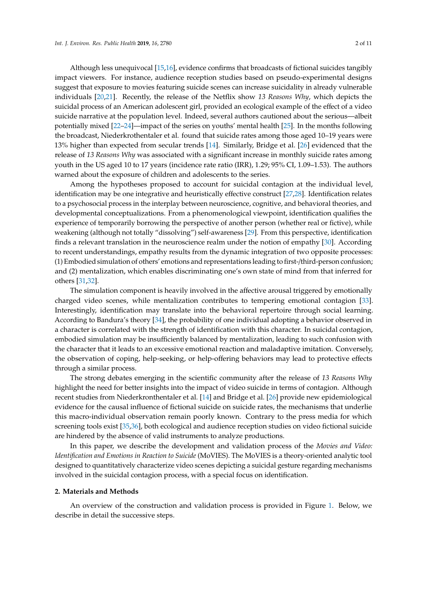Although less unequivocal [\[15](#page-8-11)[,16\]](#page-8-12), evidence confirms that broadcasts of fictional suicides tangibly impact viewers. For instance, audience reception studies based on pseudo-experimental designs suggest that exposure to movies featuring suicide scenes can increase suicidality in already vulnerable individuals [\[20,](#page-9-2)[21\]](#page-9-3). Recently, the release of the Netflix show *13 Reasons Why*, which depicts the suicidal process of an American adolescent girl, provided an ecological example of the effect of a video suicide narrative at the population level. Indeed, several authors cautioned about the serious—albeit potentially mixed [\[22](#page-9-4)[–24\]](#page-9-5)—impact of the series on youths' mental health [\[25\]](#page-9-6). In the months following the broadcast, Niederkrothentaler et al. found that suicide rates among those aged 10–19 years were 13% higher than expected from secular trends [\[14\]](#page-8-13). Similarly, Bridge et al. [\[26\]](#page-9-7) evidenced that the release of *13 Reasons Why* was associated with a significant increase in monthly suicide rates among youth in the US aged 10 to 17 years (incidence rate ratio (IRR), 1.29; 95% CI, 1.09–1.53). The authors warned about the exposure of children and adolescents to the series.

Among the hypotheses proposed to account for suicidal contagion at the individual level, identification may be one integrative and heuristically effective construct [\[27,](#page-9-8)[28\]](#page-9-9). Identification relates to a psychosocial process in the interplay between neuroscience, cognitive, and behavioral theories, and developmental conceptualizations. From a phenomenological viewpoint, identification qualifies the experience of temporarily borrowing the perspective of another person (whether real or fictive), while weakening (although not totally "dissolving") self-awareness [\[29\]](#page-9-10). From this perspective, identification finds a relevant translation in the neuroscience realm under the notion of empathy [\[30\]](#page-9-11). According to recent understandings, empathy results from the dynamic integration of two opposite processes: (1) Embodied simulation of others' emotions and representations leading to first-/third-person confusion; and (2) mentalization, which enables discriminating one's own state of mind from that inferred for others [\[31,](#page-9-12)[32\]](#page-9-13).

The simulation component is heavily involved in the affective arousal triggered by emotionally charged video scenes, while mentalization contributes to tempering emotional contagion [\[33\]](#page-9-14). Interestingly, identification may translate into the behavioral repertoire through social learning. According to Bandura's theory [\[34\]](#page-9-15), the probability of one individual adopting a behavior observed in a character is correlated with the strength of identification with this character. In suicidal contagion, embodied simulation may be insufficiently balanced by mentalization, leading to such confusion with the character that it leads to an excessive emotional reaction and maladaptive imitation. Conversely, the observation of coping, help-seeking, or help-offering behaviors may lead to protective effects through a similar process.

The strong debates emerging in the scientific community after the release of *13 Reasons Why* highlight the need for better insights into the impact of video suicide in terms of contagion. Although recent studies from Niederkronthentaler et al. [\[14\]](#page-8-13) and Bridge et al. [\[26\]](#page-9-7) provide new epidemiological evidence for the causal influence of fictional suicide on suicide rates, the mechanisms that underlie this macro-individual observation remain poorly known. Contrary to the press media for which screening tools exist [\[35,](#page-9-16)[36\]](#page-9-17), both ecological and audience reception studies on video fictional suicide are hindered by the absence of valid instruments to analyze productions.

In this paper, we describe the development and validation process of the *Movies and Video: Identification and Emotions in Reaction to Suicide* (MoVIES). The MoVIES is a theory-oriented analytic tool designed to quantitatively characterize video scenes depicting a suicidal gesture regarding mechanisms involved in the suicidal contagion process, with a special focus on identification.

#### **2. Materials and Methods**

An overview of the construction and validation process is provided in Figure [1.](#page-2-0) Below, we describe in detail the successive steps.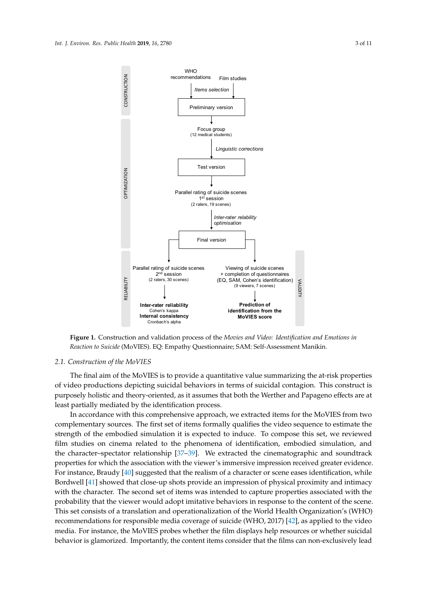<span id="page-2-0"></span>

Figure 1. Construction and validation process of the Movies and Video: Identification and Emotions in *Reaction to Suicide* (MoVIES). EQ: Empathy Questionnaire; SAM: Self-Assessment Manikin. *Reaction to Suicide* (MoVIES). EQ: Empathy Questionnaire; SAM: Self-Assessment Manikin.

## *2.1. Construction of the MoVIES 2.1. Construction of the MoVIES*

The final aim of the MoVIES is to provide a quantitative value summarizing the at-risk The final aim of the MoVIES is to provide a quantitative value summarizing the at-risk properties of video productions depicting suicidal behaviors in terms of suicidal contagion. This construct is purposely holistic and theory-oriented, as it assumes that both the Werther and Papageno effects are at least partially mediated by the identification process.

In accordance with this comprehensive approach, we extracted items for the MoVIES from two In accordance with this comprehensive approach, we extracted items for the MoVIES from two complementary sources. The first set of items formally qualifies the video sequence to estimate the complementary sources. The first set of items formally qualifies the video sequence to estimate the strength of the embodied simulation it is expected to induce. To compose this set, we reviewed film studies on cinema related to the phenomena of identification, embodied simulation, and character–spectator relationship [37–39]. We extracted the cinematographic and soundtrack the character–spectator relationship [\[37](#page-9-18)[–39\]](#page-9-19). We extracted the cinematographic and soundtrack properties for which the association with the viewer's immersive impression received greater properties for which the association with the viewer's immersive impression received greater evidence. For instance, Braudy [\[40\]](#page-9-20) suggested that the realism of a character or scene eases identification, while Bordwell [\[41\]](#page-10-0) showed that close-up shots provide an impression of physical proximity and intimacy with the character. The second set of items was intended to capture properties associated with the probability that the viewer would adopt imitative behaviors in response to the content of the scene. This set consists of a translation and operationalization of the World Health Organization's (WHO) recommendations for responsible media coverage of suicide (WHO, 2017) [\[42\]](#page-10-1), as applied to the video media. For instance, the MoVIES probes whether the film displays help resources or whether suicidal behavior is glamorized. Importantly, the content items consider that the films can non-exclusively lead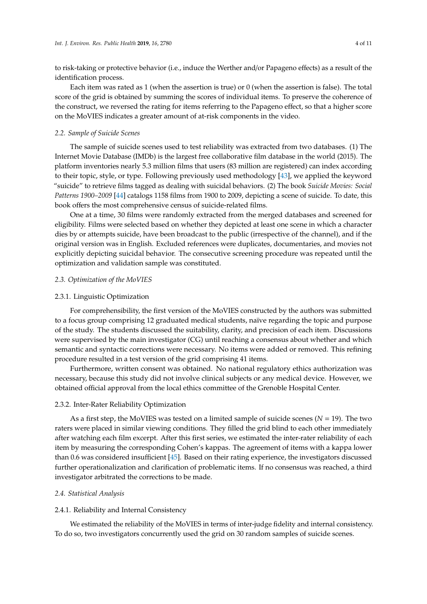to risk-taking or protective behavior (i.e., induce the Werther and/or Papageno effects) as a result of the identification process.

Each item was rated as 1 (when the assertion is true) or 0 (when the assertion is false). The total score of the grid is obtained by summing the scores of individual items. To preserve the coherence of the construct, we reversed the rating for items referring to the Papageno effect, so that a higher score on the MoVIES indicates a greater amount of at-risk components in the video.

#### *2.2. Sample of Suicide Scenes*

The sample of suicide scenes used to test reliability was extracted from two databases. (1) The Internet Movie Database (IMDb) is the largest free collaborative film database in the world (2015). The platform inventories nearly 5.3 million films that users (83 million are registered) can index according to their topic, style, or type. Following previously used methodology [\[43\]](#page-10-2), we applied the keyword "suicide" to retrieve films tagged as dealing with suicidal behaviors. (2) The book *Suicide Movies: Social Patterns 1900–2009* [\[44\]](#page-10-3) catalogs 1158 films from 1900 to 2009, depicting a scene of suicide. To date, this book offers the most comprehensive census of suicide-related films.

One at a time, 30 films were randomly extracted from the merged databases and screened for eligibility. Films were selected based on whether they depicted at least one scene in which a character dies by or attempts suicide, have been broadcast to the public (irrespective of the channel), and if the original version was in English. Excluded references were duplicates, documentaries, and movies not explicitly depicting suicidal behavior. The consecutive screening procedure was repeated until the optimization and validation sample was constituted.

## *2.3. Optimization of the MoVIES*

### 2.3.1. Linguistic Optimization

For comprehensibility, the first version of the MoVIES constructed by the authors was submitted to a focus group comprising 12 graduated medical students, naïve regarding the topic and purpose of the study. The students discussed the suitability, clarity, and precision of each item. Discussions were supervised by the main investigator (CG) until reaching a consensus about whether and which semantic and syntactic corrections were necessary. No items were added or removed. This refining procedure resulted in a test version of the grid comprising 41 items.

Furthermore, written consent was obtained. No national regulatory ethics authorization was necessary, because this study did not involve clinical subjects or any medical device. However, we obtained official approval from the local ethics committee of the Grenoble Hospital Center.

### 2.3.2. Inter-Rater Reliability Optimization

As a first step, the MoVIES was tested on a limited sample of suicide scenes  $(N = 19)$ . The two raters were placed in similar viewing conditions. They filled the grid blind to each other immediately after watching each film excerpt. After this first series, we estimated the inter-rater reliability of each item by measuring the corresponding Cohen's kappas. The agreement of items with a kappa lower than 0.6 was considered insufficient [\[45\]](#page-10-4). Based on their rating experience, the investigators discussed further operationalization and clarification of problematic items. If no consensus was reached, a third investigator arbitrated the corrections to be made.

### *2.4. Statistical Analysis*

#### 2.4.1. Reliability and Internal Consistency

We estimated the reliability of the MoVIES in terms of inter-judge fidelity and internal consistency. To do so, two investigators concurrently used the grid on 30 random samples of suicide scenes.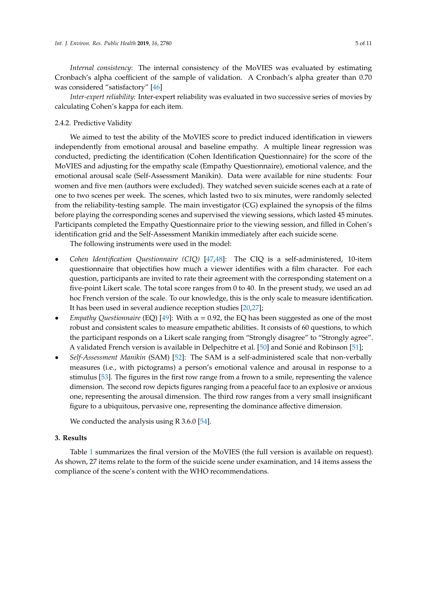*Internal consistency*: The internal consistency of the MoVIES was evaluated by estimating Cronbach's alpha coefficient of the sample of validation. A Cronbach's alpha greater than 0.70 was considered "satisfactory" [\[46\]](#page-10-5)

*Inter-expert reliability:* Inter-expert reliability was evaluated in two successive series of movies by calculating Cohen's kappa for each item.

## 2.4.2. Predictive Validity

We aimed to test the ability of the MoVIES score to predict induced identification in viewers independently from emotional arousal and baseline empathy. A multiple linear regression was conducted, predicting the identification (Cohen Identification Questionnaire) for the score of the MoVIES and adjusting for the empathy scale (Empathy Questionnaire), emotional valence, and the emotional arousal scale (Self-Assessment Manikin). Data were available for nine students: Four women and five men (authors were excluded). They watched seven suicide scenes each at a rate of one to two scenes per week. The scenes, which lasted two to six minutes, were randomly selected from the reliability-testing sample. The main investigator (CG) explained the synopsis of the films before playing the corresponding scenes and supervised the viewing sessions, which lasted 45 minutes. Participants completed the Empathy Questionnaire prior to the viewing session, and filled in Cohen's identification grid and the Self-Assessment Manikin immediately after each suicide scene.

The following instruments were used in the model:

- *Cohen Identification Questionnaire (CIQ)* [\[47](#page-10-6)[,48\]](#page-10-7): The CIQ is a self-administered, 10-item questionnaire that objectifies how much a viewer identifies with a film character. For each question, participants are invited to rate their agreement with the corresponding statement on a five-point Likert scale. The total score ranges from 0 to 40. In the present study, we used an ad hoc French version of the scale. To our knowledge, this is the only scale to measure identification. It has been used in several audience reception studies [\[20,](#page-9-2)[27\]](#page-9-8);
- *Empathy Questionnaire* (EQ) [\[49\]](#page-10-8): With  $\alpha$  = 0.92, the EQ has been suggested as one of the most robust and consistent scales to measure empathetic abilities. It consists of 60 questions, to which the participant responds on a Likert scale ranging from "Strongly disagree" to "Strongly agree". A validated French version is available in Delpechitre et al. [\[50\]](#page-10-9) and Sonié and Robinson [\[51\]](#page-10-10);
- *Self-Assessment Manikin* (SAM) [\[52\]](#page-10-11): The SAM is a self-administered scale that non-verbally measures (i.e., with pictograms) a person's emotional valence and arousal in response to a stimulus [\[53\]](#page-10-12). The figures in the first row range from a frown to a smile, representing the valence dimension. The second row depicts figures ranging from a peaceful face to an explosive or anxious one, representing the arousal dimension. The third row ranges from a very small insignificant figure to a ubiquitous, pervasive one, representing the dominance affective dimension.

We conducted the analysis using  $R$  3.6.0 [\[54\]](#page-10-13).

### **3. Results**

Table [1](#page-5-0) summarizes the final version of the MoVIES (the full version is available on request). As shown, 27 items relate to the form of the suicide scene under examination, and 14 items assess the compliance of the scene's content with the WHO recommendations.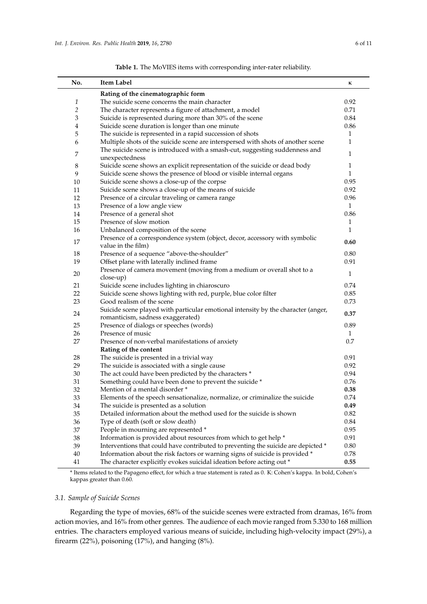$\overline{\phantom{a}}$ 

<span id="page-5-0"></span>

| No.                     | <b>Item Label</b>                                                                                                      | κ            |
|-------------------------|------------------------------------------------------------------------------------------------------------------------|--------------|
|                         | Rating of the cinematographic form                                                                                     |              |
| 1                       | The suicide scene concerns the main character                                                                          | 0.92         |
| 2                       | The character represents a figure of attachment, a model                                                               | 0.71         |
| 3                       | Suicide is represented during more than 30% of the scene                                                               | 0.84         |
| $\overline{\mathbf{4}}$ | Suicide scene duration is longer than one minute                                                                       | 0.86         |
| 5                       | The suicide is represented in a rapid succession of shots                                                              | $\mathbf{1}$ |
| 6                       | Multiple shots of the suicide scene are interspersed with shots of another scene                                       | $\mathbf{1}$ |
| 7                       | The suicide scene is introduced with a smash-cut, suggesting suddenness and<br>unexpectedness                          | 1            |
| $\,8\,$                 | Suicide scene shows an explicit representation of the suicide or dead body                                             | 1            |
| 9                       | Suicide scene shows the presence of blood or visible internal organs                                                   | $\mathbf{1}$ |
| 10                      | Suicide scene shows a close-up of the corpse                                                                           | 0.95         |
| 11                      | Suicide scene shows a close-up of the means of suicide                                                                 | 0.92         |
| 12                      | Presence of a circular traveling or camera range                                                                       | 0.96         |
| 13                      | Presence of a low angle view                                                                                           | $\mathbf{1}$ |
| 14                      | Presence of a general shot                                                                                             | 0.86         |
| 15                      | Presence of slow motion                                                                                                | 1            |
| 16                      | Unbalanced composition of the scene                                                                                    | 1            |
| 17                      | Presence of a correspondence system (object, decor, accessory with symbolic<br>value in the film)                      | 0.60         |
| 18                      | Presence of a sequence "above-the-shoulder"                                                                            | 0.80         |
| 19                      | Offset plane with laterally inclined frame                                                                             | 0.91         |
| 20                      | Presence of camera movement (moving from a medium or overall shot to a<br>close-up)                                    | 1            |
| 21                      | Suicide scene includes lighting in chiaroscuro                                                                         | 0.74         |
| 22                      | Suicide scene shows lighting with red, purple, blue color filter                                                       | 0.85         |
| 23                      | Good realism of the scene                                                                                              | 0.73         |
| 24                      | Suicide scene played with particular emotional intensity by the character (anger,<br>romanticism, sadness exaggerated) | 0.37         |
| 25                      | Presence of dialogs or speeches (words)                                                                                | 0.89         |
| 26                      | Presence of music                                                                                                      | 1            |
| 27                      | Presence of non-verbal manifestations of anxiety                                                                       | 0.7          |
|                         | Rating of the content                                                                                                  |              |
| 28                      | The suicide is presented in a trivial way                                                                              | 0.91         |
| 29                      | The suicide is associated with a single cause                                                                          | 0.92         |
| 30                      | The act could have been predicted by the characters *                                                                  | 0.94         |
| 31                      | Something could have been done to prevent the suicide *                                                                | 0.76         |
| 32                      | Mention of a mental disorder *                                                                                         | 0.38         |
| 33                      | Elements of the speech sensationalize, normalize, or criminalize the suicide                                           | 0.74         |
| 34                      | The suicide is presented as a solution                                                                                 | 0.49         |
| 35                      | Detailed information about the method used for the suicide is shown                                                    | 0.82         |
| 36                      | Type of death (soft or slow death)                                                                                     | 0.84         |
| 37                      | People in mourning are represented *                                                                                   | 0.95         |
| 38                      | Information is provided about resources from which to get help *                                                       | 0.91         |
| 39                      | Interventions that could have contributed to preventing the suicide are depicted *                                     | 0.80         |
| 40                      | Information about the risk factors or warning signs of suicide is provided *                                           | 0.78         |
| 41                      | The character explicitly evokes suicidal ideation before acting out *                                                  | 0.55         |

**Table 1.** The MoVIES items with corresponding inter-rater reliability.

\* Items related to the Papageno effect, for which a true statement is rated as 0. K: Cohen's kappa. In bold, Cohen's kappas greater than 0.60.

## *3.1. Sample of Suicide Scenes*

Regarding the type of movies, 68% of the suicide scenes were extracted from dramas, 16% from action movies, and 16% from other genres. The audience of each movie ranged from 5.330 to 168 million entries. The characters employed various means of suicide, including high-velocity impact (29%), a firearm (22%), poisoning (17%), and hanging  $(8\%)$ .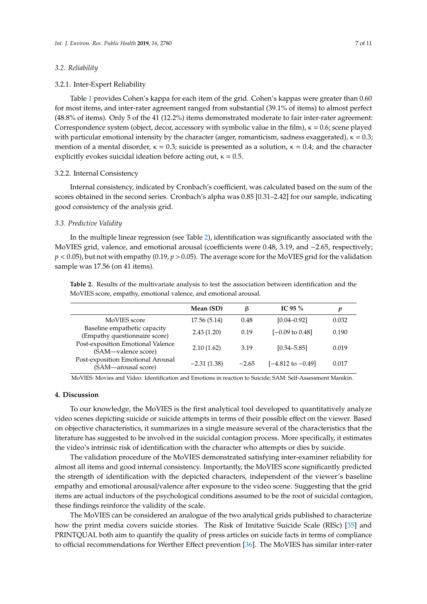#### *3.2. Reliability*

#### 3.2.1. Inter-Expert Reliability

Table [1](#page-5-0) provides Cohen's kappa for each item of the grid. Cohen's kappas were greater than 0.60 for most items, and inter-rater agreement ranged from substantial (39.1% of items) to almost perfect (48.8% of items). Only 5 of the 41 (12.2%) items demonstrated moderate to fair inter-rater agreement: Correspondence system (object, decor, accessory with symbolic value in the film),  $\kappa = 0.6$ ; scene played with particular emotional intensity by the character (anger, romanticism, sadness exaggerated),  $\kappa = 0.3$ ; mention of a mental disorder,  $\kappa = 0.3$ ; suicide is presented as a solution,  $\kappa = 0.4$ ; and the character explicitly evokes suicidal ideation before acting out,  $\kappa = 0.5$ .

#### 3.2.2. Internal Consistency

Internal consistency, indicated by Cronbach's coefficient, was calculated based on the sum of the scores obtained in the second series. Cronbach's alpha was 0.85 [0.31–2.42] for our sample, indicating good consistency of the analysis grid.

#### *3.3. Predictive Validity*

In the multiple linear regression (see Table [2\)](#page-6-0), identification was significantly associated with the MoVIES grid, valence, and emotional arousal (coefficients were 0.48, 3.19, and −2.65, respectively; *p* < 0.05), but not with empathy (0.19, *p* > 0.05). The average score for the MoVIES grid for the validation sample was 17.56 (on 41 items).

<span id="page-6-0"></span>**Table 2.** Results of the multivariate analysis to test the association between identification and the MoVIES score, empathy, emotional valence, and emotional arousal.

|                                                               | Mean (SD)     | ß       | IC 95 $%$                    | p     |
|---------------------------------------------------------------|---------------|---------|------------------------------|-------|
| MoVIES score                                                  | 17.56(5.14)   | 0.48    | $[0.04 - 0.92]$              | 0.032 |
| Baseline empathetic capacity<br>(Empathy questionnaire score) | 2.43(1.20)    | 0.19    | $[-0.09 \text{ to } 0.48]$   | 0.190 |
| Post-exposition Emotional Valence<br>(SAM—valence score)      | 2.10(1.62)    | 3.19    | $[0.54 - 5.85]$              | 0.019 |
| Post-exposition Emotional Arousal<br>(SAM-arousal score)      | $-2.31(1.38)$ | $-2.65$ | $[-4.812 \text{ to } -0.49]$ | 0.017 |

MoVIES: Movies and Video: Identification and Emotions in reaction to Suicide; SAM: Self-Assessment Manikin.

### **4. Discussion**

To our knowledge, the MoVIES is the first analytical tool developed to quantitatively analyze video scenes depicting suicide or suicide attempts in terms of their possible effect on the viewer. Based on objective characteristics, it summarizes in a single measure several of the characteristics that the literature has suggested to be involved in the suicidal contagion process. More specifically, it estimates the video's intrinsic risk of identification with the character who attempts or dies by suicide.

The validation procedure of the MoVIES demonstrated satisfying inter-examiner reliability for almost all items and good internal consistency. Importantly, the MoVIES score significantly predicted the strength of identification with the depicted characters, independent of the viewer's baseline empathy and emotional arousal/valence after exposure to the video scene. Suggesting that the grid items are actual inductors of the psychological conditions assumed to be the root of suicidal contagion, these findings reinforce the validity of the scale.

The MoVIES can be considered an analogue of the two analytical grids published to characterize how the print media covers suicide stories. The Risk of Imitative Suicide Scale (RISc) [\[35\]](#page-9-16) and PRINTQUAL both aim to quantify the quality of press articles on suicide facts in terms of compliance to official recommendations for Werther Effect prevention [\[36\]](#page-9-17). The MoVIES has similar inter-rater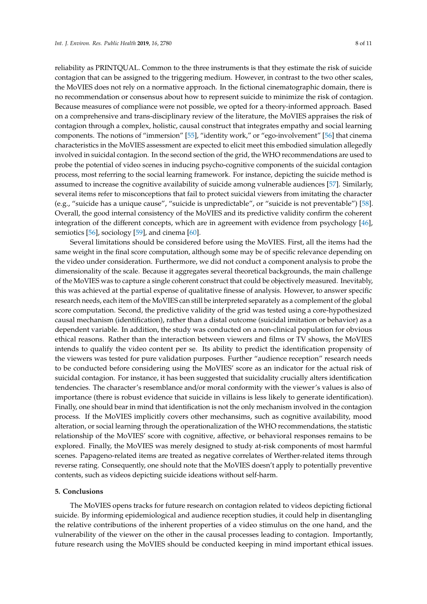reliability as PRINTQUAL. Common to the three instruments is that they estimate the risk of suicide contagion that can be assigned to the triggering medium. However, in contrast to the two other scales, the MoVIES does not rely on a normative approach. In the fictional cinematographic domain, there is no recommendation or consensus about how to represent suicide to minimize the risk of contagion. Because measures of compliance were not possible, we opted for a theory-informed approach. Based on a comprehensive and trans-disciplinary review of the literature, the MoVIES appraises the risk of contagion through a complex, holistic, causal construct that integrates empathy and social learning components. The notions of "immersion" [\[55\]](#page-10-14), "identity work," or "ego-involvement" [\[56\]](#page-10-15) that cinema characteristics in the MoVIES assessment are expected to elicit meet this embodied simulation allegedly involved in suicidal contagion. In the second section of the grid, the WHO recommendations are used to probe the potential of video scenes in inducing psycho-cognitive components of the suicidal contagion process, most referring to the social learning framework. For instance, depicting the suicide method is assumed to increase the cognitive availability of suicide among vulnerable audiences [\[57\]](#page-10-16). Similarly, several items refer to misconceptions that fail to protect suicidal viewers from imitating the character (e.g., "suicide has a unique cause", "suicide is unpredictable", or "suicide is not preventable") [\[58\]](#page-10-17). Overall, the good internal consistency of the MoVIES and its predictive validity confirm the coherent integration of the different concepts, which are in agreement with evidence from psychology [\[46\]](#page-10-5), semiotics [\[56\]](#page-10-15), sociology [\[59\]](#page-10-18), and cinema [\[60\]](#page-10-19).

Several limitations should be considered before using the MoVIES. First, all the items had the same weight in the final score computation, although some may be of specific relevance depending on the video under consideration. Furthermore, we did not conduct a component analysis to probe the dimensionality of the scale. Because it aggregates several theoretical backgrounds, the main challenge of the MoVIES was to capture a single coherent construct that could be objectively measured. Inevitably, this was achieved at the partial expense of qualitative finesse of analysis. However, to answer specific research needs, each item of the MoVIES can still be interpreted separately as a complement of the global score computation. Second, the predictive validity of the grid was tested using a core-hypothesized causal mechanism (identification), rather than a distal outcome (suicidal imitation or behavior) as a dependent variable. In addition, the study was conducted on a non-clinical population for obvious ethical reasons. Rather than the interaction between viewers and films or TV shows, the MoVIES intends to qualify the video content per se. Its ability to predict the identification propensity of the viewers was tested for pure validation purposes. Further "audience reception" research needs to be conducted before considering using the MoVIES' score as an indicator for the actual risk of suicidal contagion. For instance, it has been suggested that suicidality crucially alters identification tendencies. The character's resemblance and/or moral conformity with the viewer's values is also of importance (there is robust evidence that suicide in villains is less likely to generate identification). Finally, one should bear in mind that identification is not the only mechanism involved in the contagion process. If the MoVIES implicitly covers other mechansims, such as cognitive availability, mood alteration, or social learning through the operationalization of the WHO recommendations, the statistic relationship of the MoVIES' score with cognitive, affective, or behavioral responses remains to be explored. Finally, the MoVIES was merely designed to study at-risk components of most harmful scenes. Papageno-related items are treated as negative correlates of Werther-related items through reverse rating. Consequently, one should note that the MoVIES doesn't apply to potentially preventive contents, such as videos depicting suicide ideations without self-harm.

## **5. Conclusions**

The MoVIES opens tracks for future research on contagion related to videos depicting fictional suicide. By informing epidemiological and audience reception studies, it could help in disentangling the relative contributions of the inherent properties of a video stimulus on the one hand, and the vulnerability of the viewer on the other in the causal processes leading to contagion. Importantly, future research using the MoVIES should be conducted keeping in mind important ethical issues.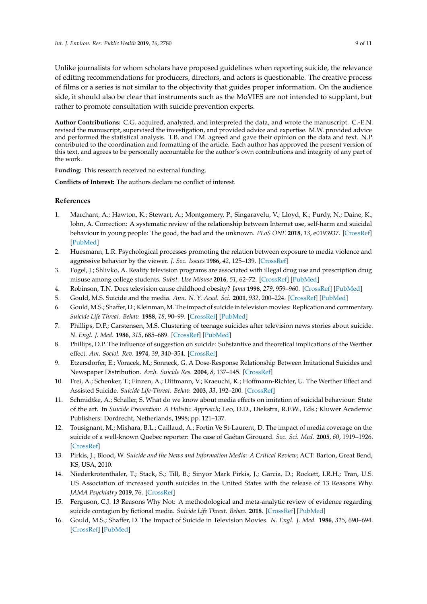Unlike journalists for whom scholars have proposed guidelines when reporting suicide, the relevance of editing recommendations for producers, directors, and actors is questionable. The creative process of films or a series is not similar to the objectivity that guides proper information. On the audience side, it should also be clear that instruments such as the MoVIES are not intended to supplant, but rather to promote consultation with suicide prevention experts.

**Author Contributions:** C.G. acquired, analyzed, and interpreted the data, and wrote the manuscript. C.-E.N. revised the manuscript, supervised the investigation, and provided advice and expertise. M.W. provided advice and performed the statistical analysis. T.B. and F.M. agreed and gave their opinion on the data and text. N.P. contributed to the coordination and formatting of the article. Each author has approved the present version of this text, and agrees to be personally accountable for the author's own contributions and integrity of any part of the work.

**Funding:** This research received no external funding.

**Conflicts of Interest:** The authors declare no conflict of interest.

## **References**

- <span id="page-8-0"></span>1. Marchant, A.; Hawton, K.; Stewart, A.; Montgomery, P.; Singaravelu, V.; Lloyd, K.; Purdy, N.; Daine, K.; John, A. Correction: A systematic review of the relationship between Internet use, self-harm and suicidal behaviour in young people: The good, the bad and the unknown. *PLoS ONE* **2018**, *13*, e0193937. [\[CrossRef\]](http://dx.doi.org/10.1371/journal.pone.0193937) [\[PubMed\]](http://www.ncbi.nlm.nih.gov/pubmed/29494676)
- <span id="page-8-1"></span>2. Huesmann, L.R. Psychological processes promoting the relation between exposure to media violence and aggressive behavior by the viewer. *J. Soc. Issues* **1986**, *42*, 125–139. [\[CrossRef\]](http://dx.doi.org/10.1111/j.1540-4560.1986.tb00246.x)
- <span id="page-8-2"></span>3. Fogel, J.; Shlivko, A. Reality television programs are associated with illegal drug use and prescription drug misuse among college students. *Subst. Use Misuse* **2016**, *51*, 62–72. [\[CrossRef\]](http://dx.doi.org/10.3109/10826084.2015.1082593) [\[PubMed\]](http://www.ncbi.nlm.nih.gov/pubmed/26683767)
- <span id="page-8-3"></span>4. Robinson, T.N. Does television cause childhood obesity? *Jama* **1998**, *279*, 959–960. [\[CrossRef\]](http://dx.doi.org/10.1001/jama.279.12.959) [\[PubMed\]](http://www.ncbi.nlm.nih.gov/pubmed/9544774)
- <span id="page-8-4"></span>5. Gould, M.S. Suicide and the media. *Ann. N. Y. Acad. Sci.* **2001**, *932*, 200–224. [\[CrossRef\]](http://dx.doi.org/10.1111/j.1749-6632.2001.tb05807.x) [\[PubMed\]](http://www.ncbi.nlm.nih.gov/pubmed/11411187)
- 6. Gould, M.S.; Shaffer, D.; Kleinman, M. The impact of suicide in television movies: Replication and commentary. *Suicide Life Threat. Behav.* **1988**, *18*, 90–99. [\[CrossRef\]](http://dx.doi.org/10.1111/j.1943-278X.1988.tb00144.x) [\[PubMed\]](http://www.ncbi.nlm.nih.gov/pubmed/3388473)
- <span id="page-8-5"></span>7. Phillips, D.P.; Carstensen, M.S. Clustering of teenage suicides after television news stories about suicide. *N. Engl. J. Med.* **1986**, *315*, 685–689. [\[CrossRef\]](http://dx.doi.org/10.1056/NEJM198609113151106) [\[PubMed\]](http://www.ncbi.nlm.nih.gov/pubmed/3748072)
- <span id="page-8-6"></span>8. Phillips, D.P. The influence of suggestion on suicide: Substantive and theoretical implications of the Werther effect. *Am. Sociol. Rev.* **1974**, *39*, 340–354. [\[CrossRef\]](http://dx.doi.org/10.2307/2094294)
- <span id="page-8-7"></span>9. Etzersdorfer, E.; Voracek, M.; Sonneck, G. A Dose-Response Relationship Between Imitational Suicides and Newspaper Distribution. *Arch. Suicide Res.* **2004**, *8*, 137–145. [\[CrossRef\]](http://dx.doi.org/10.1080/13811110490270985)
- 10. Frei, A.; Schenker, T.; Finzen, A.; Dittmann, V.; Kraeuchi, K.; Hoffmann-Richter, U. The Werther Effect and Assisted Suicide. *Suicide Life-Threat. Behav.* **2003**, *33*, 192–200. [\[CrossRef\]](http://dx.doi.org/10.1521/suli.33.2.192.22768)
- <span id="page-8-8"></span>11. Schmidtke, A.; Schaller, S. What do we know about media effects on imitation of suicidal behaviour: State of the art. In *Suicide Prevention: A Holistic Approach*; Leo, D.D., Diekstra, R.F.W., Eds.; Kluwer Academic Publishers: Dordrecht, Netherlands, 1998; pp. 121–137.
- <span id="page-8-9"></span>12. Tousignant, M.; Mishara, B.L.; Caillaud, A.; Fortin Ve St-Laurent, D. The impact of media coverage on the suicide of a well-known Quebec reporter: The case of Gaétan Girouard. *Soc. Sci. Med.* **2005**, *60*, 1919–1926. [\[CrossRef\]](http://dx.doi.org/10.1016/j.socscimed.2004.08.054)
- <span id="page-8-10"></span>13. Pirkis, J.; Blood, W. *Suicide and the News and Information Media: A Critical Review*; ACT: Barton, Great Bend, KS, USA, 2010.
- <span id="page-8-13"></span>14. Niederkrotenthaler, T.; Stack, S.; Till, B.; Sinyor Mark Pirkis, J.; Garcia, D.; Rockett, I.R.H.; Tran, U.S. US Association of increased youth suicides in the United States with the release of 13 Reasons Why. *JAMA Psychiatry* **2019**, 76. [\[CrossRef\]](http://dx.doi.org/10.1001/jamapsychiatry.2019.0922)
- <span id="page-8-11"></span>15. Ferguson, C.J. 13 Reasons Why Not: A methodological and meta-analytic review of evidence regarding suicide contagion by fictional media. *Suicide Life Threat. Behav.* **2018**. [\[CrossRef\]](http://dx.doi.org/10.1111/sltb.12517) [\[PubMed\]](http://www.ncbi.nlm.nih.gov/pubmed/30318609)
- <span id="page-8-12"></span>16. Gould, M.S.; Shaffer, D. The Impact of Suicide in Television Movies. *N. Engl. J. Med.* **1986**, *315*, 690–694. [\[CrossRef\]](http://dx.doi.org/10.1056/NEJM198609113151107) [\[PubMed\]](http://www.ncbi.nlm.nih.gov/pubmed/3748073)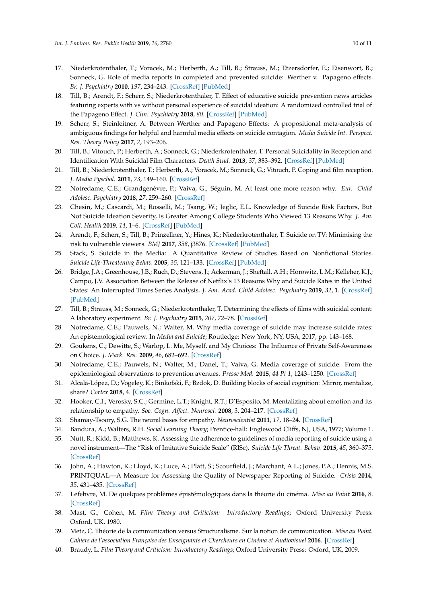- <span id="page-9-0"></span>17. Niederkrotenthaler, T.; Voracek, M.; Herberth, A.; Till, B.; Strauss, M.; Etzersdorfer, E.; Eisenwort, B.; Sonneck, G. Role of media reports in completed and prevented suicide: Werther v. Papageno effects. *Br. J. Psychiatry* **2010**, *197*, 234–243. [\[CrossRef\]](http://dx.doi.org/10.1192/bjp.bp.109.074633) [\[PubMed\]](http://www.ncbi.nlm.nih.gov/pubmed/20807970)
- 18. Till, B.; Arendt, F.; Scherr, S.; Niederkrotenthaler, T. Effect of educative suicide prevention news articles featuring experts with vs without personal experience of suicidal ideation: A randomized controlled trial of the Papageno Effect. *J. Clin. Psychiatry* **2018**, *80*. [\[CrossRef\]](http://dx.doi.org/10.4088/JCP.17m11975) [\[PubMed\]](http://www.ncbi.nlm.nih.gov/pubmed/30549483)
- <span id="page-9-1"></span>19. Scherr, S.; Steinleitner, A. Between Werther and Papageno Effects: A propositional meta-analysis of ambiguous findings for helpful and harmful media effects on suicide contagion. *Media Suicide Int. Perspect. Res. Theory Policy* **2017**, *2*, 193–206.
- <span id="page-9-2"></span>20. Till, B.; Vitouch, P.; Herberth, A.; Sonneck, G.; Niederkrotenthaler, T. Personal Suicidality in Reception and Identification With Suicidal Film Characters. *Death Stud.* **2013**, *37*, 383–392. [\[CrossRef\]](http://dx.doi.org/10.1080/07481187.2012.673531) [\[PubMed\]](http://www.ncbi.nlm.nih.gov/pubmed/24520893)
- <span id="page-9-3"></span>21. Till, B.; Niederkrotenthaler, T.; Herberth, A.; Voracek, M.; Sonneck, G.; Vitouch, P. Coping and film reception. *J. Media Pyschol.* **2011**, *23*, 149–160. [\[CrossRef\]](http://dx.doi.org/10.1027/1864-1105/a000048)
- <span id="page-9-4"></span>22. Notredame, C.E.; Grandgenèvre, P.; Vaiva, G.; Séguin, M. At least one more reason why. *Eur. Child Adolesc. Psychiatry* **2018**, *27*, 259–260. [\[CrossRef\]](http://dx.doi.org/10.1007/s00787-017-1033-8)
- 23. Chesin, M.; Cascardi, M.; Rosselli, M.; Tsang, W.; Jeglic, E.L. Knowledge of Suicide Risk Factors, But Not Suicide Ideation Severity, Is Greater Among College Students Who Viewed 13 Reasons Why. *J. Am. Coll. Health* **2019**, *14*, 1–6. [\[CrossRef\]](http://dx.doi.org/10.1080/07448481.2019.1586713) [\[PubMed\]](http://www.ncbi.nlm.nih.gov/pubmed/30939105)
- <span id="page-9-5"></span>24. Arendt, F.; Scherr, S.; Till, B.; Prinzellner, Y.; Hines, K.; Niederkrotenthaler, T. Suicide on TV: Minimising the risk to vulnerable viewers. *BMJ* **2017**, *358*, j3876. [\[CrossRef\]](http://dx.doi.org/10.1136/bmj.j3876) [\[PubMed\]](http://www.ncbi.nlm.nih.gov/pubmed/28830886)
- <span id="page-9-6"></span>25. Stack, S. Suicide in the Media: A Quantitative Review of Studies Based on Nonfictional Stories. *Suicide Life-Threatening Behav.* **2005**, *35*, 121–133. [\[CrossRef\]](http://dx.doi.org/10.1521/suli.35.2.121.62877) [\[PubMed\]](http://www.ncbi.nlm.nih.gov/pubmed/15843330)
- <span id="page-9-7"></span>26. Bridge, J.A.; Greenhouse, J.B.; Ruch, D.; Stevens, J.; Ackerman, J.; Sheftall, A.H.; Horowitz, L.M.; Kelleher, K.J.; Campo, J.V. Association Between the Release of Netflix's 13 Reasons Why and Suicide Rates in the United States: An Interrupted Times Series Analysis. *J. Am. Acad. Child Adolesc. Psychiatry* **2019**, *32*, 1. [\[CrossRef\]](http://dx.doi.org/10.1016/j.jaac.2019.04.020) [\[PubMed\]](http://www.ncbi.nlm.nih.gov/pubmed/31042568)
- <span id="page-9-8"></span>27. Till, B.; Strauss, M.; Sonneck, G.; Niederkrotenthaler, T. Determining the effects of films with suicidal content: A laboratory experiment. *Br. J. Psychiatry* **2015**, *207*, 72–78. [\[CrossRef\]](http://dx.doi.org/10.1192/bjp.bp.114.152827)
- <span id="page-9-9"></span>28. Notredame, C.E.; Pauwels, N.; Walter, M. Why media coverage of suicide may increase suicide rates: An epistemological review. In *Media and Suicide*; Routledge: New York, NY, USA, 2017; pp. 143–168.
- <span id="page-9-10"></span>29. Goukens, C.; Dewitte, S.; Warlop, L. Me, Myself, and My Choices: The Influence of Private Self-Awareness on Choice. *J. Mark. Res.* **2009**, *46*, 682–692. [\[CrossRef\]](http://dx.doi.org/10.1509/jmkr.46.5.682)
- <span id="page-9-11"></span>30. Notredame, C.E.; Pauwels, N.; Walter, M.; Danel, T.; Vaiva, G. Media coverage of suicide: From the epidemiological observations to prevention avenues. *Presse Med.* **2015**, *44 Pt 1*, 1243–1250. [\[CrossRef\]](http://dx.doi.org/10.1016/j.lpm.2015.07.018)
- <span id="page-9-12"></span>31. Alcalá-López, D.; Vogeley, K.; Binkofski, F.; Bzdok, D. Building blocks of social cognition: Mirror, mentalize, share? *Cortex* **2018**, 4. [\[CrossRef\]](http://dx.doi.org/10.1016/j.cortex.2018.05.006)
- <span id="page-9-13"></span>32. Hooker, C.I.; Verosky, S.C.; Germine, L.T.; Knight, R.T.; D'Esposito, M. Mentalizing about emotion and its relationship to empathy. *Soc. Cogn. A*ff*ect. Neurosci.* **2008**, *3*, 204–217. [\[CrossRef\]](http://dx.doi.org/10.1093/scan/nsn019)
- <span id="page-9-14"></span>33. Shamay-Tsoory, S.G. The neural bases for empathy. *Neuroscientist* **2011**, *17*, 18–24. [\[CrossRef\]](http://dx.doi.org/10.1177/1073858410379268)
- <span id="page-9-15"></span>34. Bandura, A.; Walters, R.H. *Social Learning Theory*; Prentice-hall: Englewood Cliffs, NJ, USA, 1977; Volume 1.
- <span id="page-9-16"></span>35. Nutt, R.; Kidd, B.; Matthews, K. Assessing the adherence to guidelines of media reporting of suicide using a novel instrument—The "Risk of Imitative Suicide Scale" (RISc). *Suicide Life Threat. Behav.* **2015**, *45*, 360–375. [\[CrossRef\]](http://dx.doi.org/10.1111/sltb.12137)
- <span id="page-9-17"></span>36. John, A.; Hawton, K.; Lloyd, K.; Luce, A.; Platt, S.; Scourfield, J.; Marchant, A.L.; Jones, P.A.; Dennis, M.S. PRINTQUAL—A Measure for Assessing the Quality of Newspaper Reporting of Suicide. *Crisis* **2014**, *35*, 431–435. [\[CrossRef\]](http://dx.doi.org/10.1027/0227-5910/a000276)
- <span id="page-9-18"></span>37. Lefebvre, M. De quelques problèmes épistémologiques dans la théorie du cinéma. *Mise au Point* **2016**, 8. [\[CrossRef\]](http://dx.doi.org/10.4000/map.2081)
- 38. Mast, G.; Cohen, M. *Film Theory and Criticism: Introductory Readings*; Oxford University Press: Oxford, UK, 1980.
- <span id="page-9-19"></span>39. Metz, C. Théorie de la communication versus Structuralisme. Sur la notion de communication. *Mise au Point. Cahiers de l'association Française des Enseignants et Chercheurs en Cinéma et Audiovisuel* **2016**. [\[CrossRef\]](http://dx.doi.org/10.4000/map.2121)
- <span id="page-9-20"></span>40. Braudy, L. *Film Theory and Criticism: Introductory Readings*; Oxford University Press: Oxford, UK, 2009.